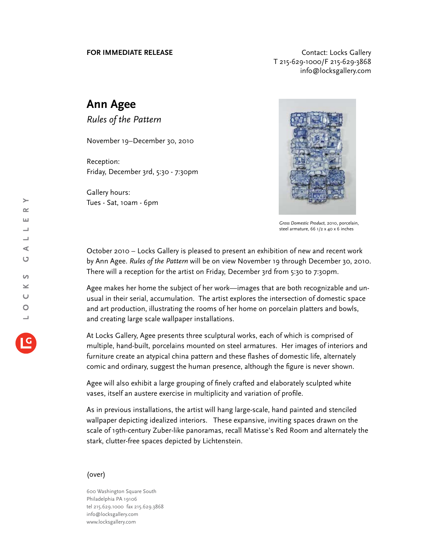**FOR IMMEDIATE RELEASE CONTACT EXAMPLE ASSESS** T 215-629-1000/F 215-629-3868 info@locksgallery.com

## **Ann Agee**

*Rules of the Pattern*

November 19–December 30, 2010

Reception: Friday, December 3rd, 5:30 - 7:30pm

Gallery hours: Tues - Sat, 10am - 6pm



*Gross Domestic Product,* 2010, porcelain, steel armature, 66 1/2 x 40 x 6 inches

October 2010 – Locks Gallery is pleased to present an exhibition of new and recent work by Ann Agee. *Rules of the Pattern* will be on view November 19 through December 30, 2010. There will a reception for the artist on Friday, December 3rd from 5:30 to 7:30pm.

Agee makes her home the subject of her work—images that are both recognizable and unusual in their serial, accumulation. The artist explores the intersection of domestic space and art production, illustrating the rooms of her home on porcelain platters and bowls, and creating large scale wallpaper installations.

At Locks Gallery, Agee presents three sculptural works, each of which is comprised of multiple, hand-built, porcelains mounted on steel armatures. Her images of interiors and furniture create an atypical china pattern and these flashes of domestic life, alternately comic and ordinary, suggest the human presence, although the figure is never shown.

Agee will also exhibit a large grouping of finely crafted and elaborately sculpted white vases, itself an austere exercise in multiplicity and variation of profile.

As in previous installations, the artist will hang large-scale, hand painted and stenciled wallpaper depicting idealized interiors. These expansive, inviting spaces drawn on the scale of 19th-century Zuber-like panoramas, recall Matisse's Red Room and alternately the stark, clutter-free spaces depicted by Lichtenstein.

## (over)

600 Washington Square South Philadelphia PA 19106 tel 215.629.1000 fax 215.629.3868 info@locksgallery.com www.locksgallery.com